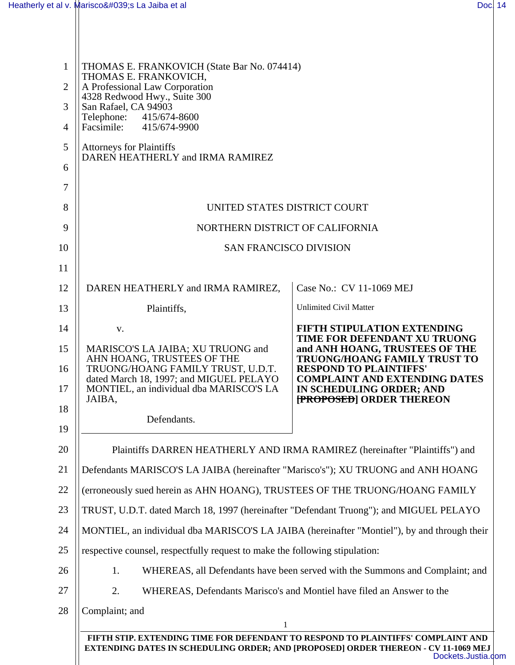| $\mathbf{1}$   | THOMAS E. FRANKOVICH (State Bar No. 074414)                                                 |                                                                             |  |  |
|----------------|---------------------------------------------------------------------------------------------|-----------------------------------------------------------------------------|--|--|
| $\overline{2}$ | THOMAS E. FRANKOVICH,<br>A Professional Law Corporation                                     |                                                                             |  |  |
| 3              | 4328 Redwood Hwy., Suite 300<br>San Rafael, CA 94903                                        |                                                                             |  |  |
| $\overline{4}$ | Telephone:<br>415/674-8600<br>Facsimile:<br>415/674-9900                                    |                                                                             |  |  |
| 5              | <b>Attorneys for Plaintiffs</b>                                                             |                                                                             |  |  |
| 6              | DAREN HEATHERLY and IRMA RAMIREZ                                                            |                                                                             |  |  |
| 7              |                                                                                             |                                                                             |  |  |
| 8              | UNITED STATES DISTRICT COURT                                                                |                                                                             |  |  |
| 9              | NORTHERN DISTRICT OF CALIFORNIA                                                             |                                                                             |  |  |
| 10             | <b>SAN FRANCISCO DIVISION</b>                                                               |                                                                             |  |  |
| 11             |                                                                                             |                                                                             |  |  |
| 12             | DAREN HEATHERLY and IRMA RAMIREZ,                                                           | Case No.: CV 11-1069 MEJ                                                    |  |  |
| 13             | Plaintiffs,                                                                                 | <b>Unlimited Civil Matter</b>                                               |  |  |
| 14             | V.                                                                                          | <b>FIFTH STIPULATION EXTENDING</b><br>TIME FOR DEFENDANT XU TRUONG          |  |  |
| 15             | MARISCO'S LA JAIBA; XU TRUONG and<br>AHN HOANG, TRUSTEES OF THE                             | and ANH HOANG, TRUSTEES OF THE<br>TRUONG/HOANG FAMILY TRUST TO              |  |  |
| 16             | TRUONG/HOANG FAMILY TRUST, U.D.T.<br>dated March 18, 1997; and MIGUEL PELAYO                | <b>RESPOND TO PLAINTIFFS'</b><br><b>COMPLAINT AND EXTENDING DATES</b>       |  |  |
| 17             | MONTIEL, an individual dba MARISCO'S LA<br>JAIBA,                                           | IN SCHEDULING ORDER; AND<br><b>FROPOSED</b> ORDER THEREON                   |  |  |
| 18             | Defendants.                                                                                 |                                                                             |  |  |
| 19             |                                                                                             |                                                                             |  |  |
| 20             |                                                                                             | Plaintiffs DARREN HEATHERLY AND IRMA RAMIREZ (hereinafter "Plaintiffs") and |  |  |
| 21             | Defendants MARISCO'S LA JAIBA (hereinafter "Marisco's"); XU TRUONG and ANH HOANG            |                                                                             |  |  |
| 22             | (erroneously sued herein as AHN HOANG), TRUSTEES OF THE TRUONG/HOANG FAMILY                 |                                                                             |  |  |
| 23             | TRUST, U.D.T. dated March 18, 1997 (hereinafter "Defendant Truong"); and MIGUEL PELAYO      |                                                                             |  |  |
| 24             | MONTIEL, an individual dba MARISCO'S LA JAIBA (hereinafter "Montiel"), by and through their |                                                                             |  |  |
| 25             | respective counsel, respectfully request to make the following stipulation:                 |                                                                             |  |  |
| 26             | WHEREAS, all Defendants have been served with the Summons and Complaint; and<br>1.          |                                                                             |  |  |
| 27             | WHEREAS, Defendants Marisco's and Montiel have filed an Answer to the<br>2.                 |                                                                             |  |  |
| 28             | Complaint; and                                                                              |                                                                             |  |  |
|                | FIFTH STIP. EXTENDING TIME FOR DEFENDANT TO RESPOND TO PLAINTIFFS' COMPLAINT AND            |                                                                             |  |  |
|                | <b>EXTENDING DATES IN SCHEDULING ORDER; AND [PROPOSED] ORDER THEREON - CV 11-1069 MEJ</b>   |                                                                             |  |  |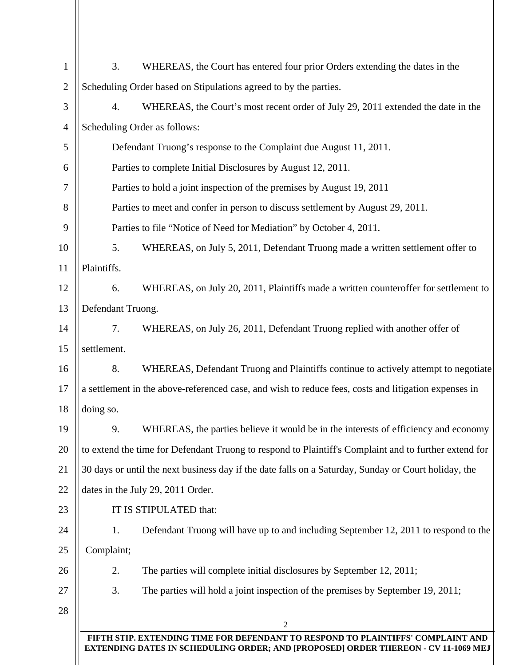| $\mathbf{1}$   | 3.                                                                                                                                                                            | WHEREAS, the Court has entered four prior Orders extending the dates in the         |  |  |  |
|----------------|-------------------------------------------------------------------------------------------------------------------------------------------------------------------------------|-------------------------------------------------------------------------------------|--|--|--|
| $\overline{2}$ | Scheduling Order based on Stipulations agreed to by the parties.                                                                                                              |                                                                                     |  |  |  |
| 3              | 4.                                                                                                                                                                            | WHEREAS, the Court's most recent order of July 29, 2011 extended the date in the    |  |  |  |
| $\overline{4}$ | Scheduling Order as follows:                                                                                                                                                  |                                                                                     |  |  |  |
| 5              | Defendant Truong's response to the Complaint due August 11, 2011.                                                                                                             |                                                                                     |  |  |  |
| 6              | Parties to complete Initial Disclosures by August 12, 2011.                                                                                                                   |                                                                                     |  |  |  |
| 7              | Parties to hold a joint inspection of the premises by August 19, 2011                                                                                                         |                                                                                     |  |  |  |
| 8              | Parties to meet and confer in person to discuss settlement by August 29, 2011.                                                                                                |                                                                                     |  |  |  |
| 9              | Parties to file "Notice of Need for Mediation" by October 4, 2011.                                                                                                            |                                                                                     |  |  |  |
| 10             | 5.                                                                                                                                                                            | WHEREAS, on July 5, 2011, Defendant Truong made a written settlement offer to       |  |  |  |
| 11             | Plaintiffs.                                                                                                                                                                   |                                                                                     |  |  |  |
| 12             | 6.                                                                                                                                                                            | WHEREAS, on July 20, 2011, Plaintiffs made a written counteroffer for settlement to |  |  |  |
| 13             | Defendant Truong.                                                                                                                                                             |                                                                                     |  |  |  |
| 14             | 7.                                                                                                                                                                            | WHEREAS, on July 26, 2011, Defendant Truong replied with another offer of           |  |  |  |
| 15             | settlement.                                                                                                                                                                   |                                                                                     |  |  |  |
| 16             | 8.                                                                                                                                                                            | WHEREAS, Defendant Truong and Plaintiffs continue to actively attempt to negotiate  |  |  |  |
| 17             | a settlement in the above-referenced case, and wish to reduce fees, costs and litigation expenses in                                                                          |                                                                                     |  |  |  |
| 18             | doing so.                                                                                                                                                                     |                                                                                     |  |  |  |
| 19             | 9.                                                                                                                                                                            | WHEREAS, the parties believe it would be in the interests of efficiency and economy |  |  |  |
| 20             | to extend the time for Defendant Truong to respond to Plaintiff's Complaint and to further extend for                                                                         |                                                                                     |  |  |  |
| 21             | 30 days or until the next business day if the date falls on a Saturday, Sunday or Court holiday, the                                                                          |                                                                                     |  |  |  |
| 22             | dates in the July 29, 2011 Order.                                                                                                                                             |                                                                                     |  |  |  |
| 23             | IT IS STIPULATED that:                                                                                                                                                        |                                                                                     |  |  |  |
| 24             | 1.                                                                                                                                                                            | Defendant Truong will have up to and including September 12, 2011 to respond to the |  |  |  |
| 25             | Complaint;                                                                                                                                                                    |                                                                                     |  |  |  |
| 26             | 2.                                                                                                                                                                            | The parties will complete initial disclosures by September 12, 2011;                |  |  |  |
| 27             | 3.                                                                                                                                                                            | The parties will hold a joint inspection of the premises by September 19, 2011;     |  |  |  |
| 28             |                                                                                                                                                                               |                                                                                     |  |  |  |
|                | 2                                                                                                                                                                             |                                                                                     |  |  |  |
|                | FIFTH STIP. EXTENDING TIME FOR DEFENDANT TO RESPOND TO PLAINTIFFS' COMPLAINT AND<br><b>EXTENDING DATES IN SCHEDULING ORDER; AND [PROPOSED] ORDER THEREON - CV 11-1069 MEJ</b> |                                                                                     |  |  |  |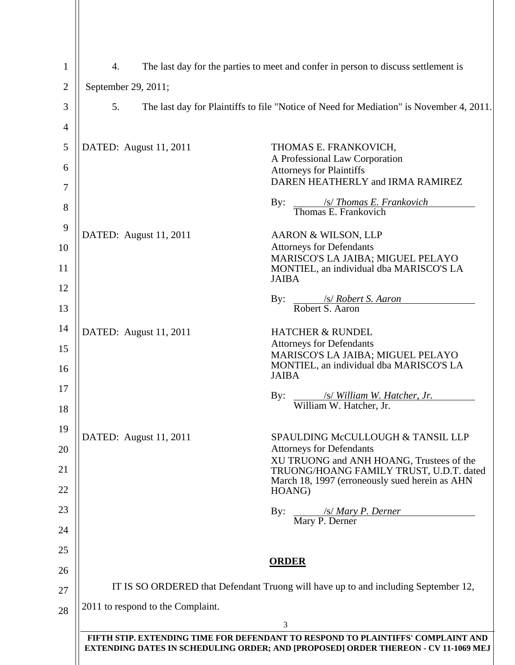| $\mathbf{1}$   | 4.<br>The last day for the parties to meet and confer in person to discuss settlement is                                                                                      |                                                                                              |  |
|----------------|-------------------------------------------------------------------------------------------------------------------------------------------------------------------------------|----------------------------------------------------------------------------------------------|--|
| $\overline{c}$ | September 29, 2011;                                                                                                                                                           |                                                                                              |  |
| 3              | 5.<br>The last day for Plaintiffs to file "Notice of Need for Mediation" is November 4, 2011.                                                                                 |                                                                                              |  |
| 4              |                                                                                                                                                                               |                                                                                              |  |
| 5              | DATED: August 11, 2011                                                                                                                                                        | THOMAS E. FRANKOVICH,                                                                        |  |
| 6              |                                                                                                                                                                               | A Professional Law Corporation<br><b>Attorneys for Plaintiffs</b>                            |  |
| 7              |                                                                                                                                                                               | DAREN HEATHERLY and IRMA RAMIREZ                                                             |  |
| 8              |                                                                                                                                                                               | $\frac{\sqrt{s}}{\text{Thomas } E. \text{ Frankovich}}$<br>By:                               |  |
| 9              | DATED: August 11, 2011                                                                                                                                                        | AARON & WILSON, LLP                                                                          |  |
| 10             |                                                                                                                                                                               | <b>Attorneys for Defendants</b><br>MARISCO'S LA JAIBA; MIGUEL PELAYO                         |  |
| 11             |                                                                                                                                                                               | MONTIEL, an individual dba MARISCO'S LA<br><b>JAIBA</b>                                      |  |
| 12<br>13       |                                                                                                                                                                               | <i>s/Robert S. Aaron</i><br>By:<br>Robert S. Aaron                                           |  |
| 14             | DATED: August 11, 2011                                                                                                                                                        | <b>HATCHER &amp; RUNDEL</b>                                                                  |  |
| 15             |                                                                                                                                                                               | <b>Attorneys for Defendants</b>                                                              |  |
| 16             |                                                                                                                                                                               | MARISCO'S LA JAIBA; MIGUEL PELAYO<br>MONTIEL, an individual dba MARISCO'S LA<br><b>JAIBA</b> |  |
| 17             |                                                                                                                                                                               | <i>s/ William W. Hatcher, Jr.</i><br>By:                                                     |  |
| 18             |                                                                                                                                                                               | William W. Hatcher, Jr.                                                                      |  |
| 19             | DATED: August 11, 2011                                                                                                                                                        | SPAULDING McCULLOUGH & TANSIL LLP                                                            |  |
| 20             |                                                                                                                                                                               | <b>Attorneys for Defendants</b><br>XU TRUONG and ANH HOANG, Trustees of the                  |  |
| 21             |                                                                                                                                                                               | TRUONG/HOANG FAMILY TRUST, U.D.T. dated<br>March 18, 1997 (erroneously sued herein as AHN    |  |
| 22             |                                                                                                                                                                               | HOANG)                                                                                       |  |
| 23             |                                                                                                                                                                               | /s/ Mary P. Derner<br>Mary P. Derner<br>By:                                                  |  |
| 24             |                                                                                                                                                                               |                                                                                              |  |
| 25<br>26       |                                                                                                                                                                               | <b>ORDER</b>                                                                                 |  |
| 27             | IT IS SO ORDERED that Defendant Truong will have up to and including September 12,                                                                                            |                                                                                              |  |
| 28             | 2011 to respond to the Complaint.                                                                                                                                             |                                                                                              |  |
|                |                                                                                                                                                                               | 3                                                                                            |  |
|                | FIFTH STIP. EXTENDING TIME FOR DEFENDANT TO RESPOND TO PLAINTIFFS' COMPLAINT AND<br><b>EXTENDING DATES IN SCHEDULING ORDER; AND [PROPOSED] ORDER THEREON - CV 11-1069 MEJ</b> |                                                                                              |  |